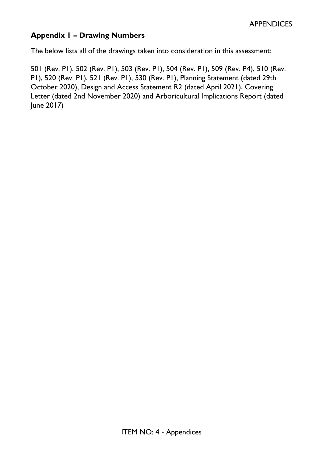# **Appendix 1 – Drawing Numbers**

The below lists all of the drawings taken into consideration in this assessment:

501 (Rev. P1), 502 (Rev. P1), 503 (Rev. P1), 504 (Rev. P1), 509 (Rev. P4), 510 (Rev. P1), 520 (Rev. P1), 521 (Rev. P1), 530 (Rev. P1), Planning Statement (dated 29th October 2020), Design and Access Statement R2 (dated April 2021), Covering Letter (dated 2nd November 2020) and Arboricultural Implications Report (dated June 2017)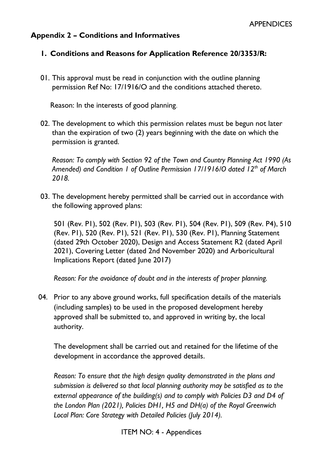#### **Appendix 2 – Conditions and Informatives**

#### **1. Conditions and Reasons for Application Reference 20/3353/R:**

01. This approval must be read in conjunction with the outline planning permission Ref No: 17/1916/O and the conditions attached thereto.

Reason: In the interests of good planning.

02. The development to which this permission relates must be begun not later than the expiration of two (2) years beginning with the date on which the permission is granted.

*Reason: To comply with Section 92 of the Town and Country Planning Act 1990 (As Amended) and Condition 1 of Outline Permission 17/1916/O dated 12th of March 2018.*

03. The development hereby permitted shall be carried out in accordance with the following approved plans:

501 (Rev. P1), 502 (Rev. P1), 503 (Rev. P1), 504 (Rev. P1), 509 (Rev. P4), 510 (Rev. P1), 520 (Rev. P1), 521 (Rev. P1), 530 (Rev. P1), Planning Statement (dated 29th October 2020), Design and Access Statement R2 (dated April 2021), Covering Letter (dated 2nd November 2020) and Arboricultural Implications Report (dated June 2017)

*Reason: For the avoidance of doubt and in the interests of proper planning.*

04. Prior to any above ground works, full specification details of the materials (including samples) to be used in the proposed development hereby approved shall be submitted to, and approved in writing by, the local authority.

The development shall be carried out and retained for the lifetime of the development in accordance the approved details.

*Reason: To ensure that the high design quality demonstrated in the plans and submission is delivered so that local planning authority may be satisfied as to the external appearance of the building(s) and to comply with Policies D3 and D4 of the London Plan (2021), Policies DH1, H5 and DH(a) of the Royal Greenwich Local Plan: Core Strategy with Detailed Policies (July 2014).*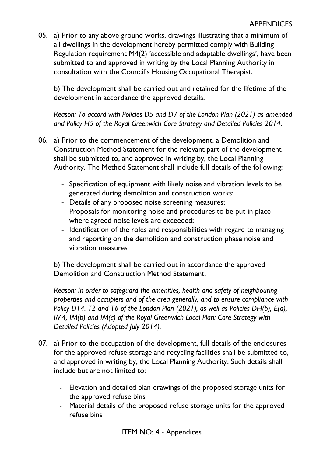05. a) Prior to any above ground works, drawings illustrating that a minimum of all dwellings in the development hereby permitted comply with Building Regulation requirement M4(2) 'accessible and adaptable dwellings', have been submitted to and approved in writing by the Local Planning Authority in consultation with the Council's Housing Occupational Therapist.

b) The development shall be carried out and retained for the lifetime of the development in accordance the approved details.

*Reason: To accord with Policies D5 and D7 of the London Plan (2021) as amended and Policy H5 of the Royal Greenwich Core Strategy and Detailed Policies 2014.*

- 06. a) Prior to the commencement of the development, a Demolition and Construction Method Statement for the relevant part of the development shall be submitted to, and approved in writing by, the Local Planning Authority. The Method Statement shall include full details of the following:
	- Specification of equipment with likely noise and vibration levels to be generated during demolition and construction works;
	- Details of any proposed noise screening measures;
	- Proposals for monitoring noise and procedures to be put in place where agreed noise levels are exceeded;
	- Identification of the roles and responsibilities with regard to managing and reporting on the demolition and construction phase noise and vibration measures

b) The development shall be carried out in accordance the approved Demolition and Construction Method Statement.

*Reason: In order to safeguard the amenities, health and safety of neighbouring properties and occupiers and of the area generally, and to ensure compliance with Policy D14. T2 and T6 of the London Plan (2021), as well as Policies DH(b), E(a), IM4, IM(b) and IM(c) of the Royal Greenwich Local Plan: Core Strategy with Detailed Policies (Adopted July 2014).*

- 07. a) Prior to the occupation of the development, full details of the enclosures for the approved refuse storage and recycling facilities shall be submitted to, and approved in writing by, the Local Planning Authority. Such details shall include but are not limited to:
	- Elevation and detailed plan drawings of the proposed storage units for the approved refuse bins
	- Material details of the proposed refuse storage units for the approved refuse bins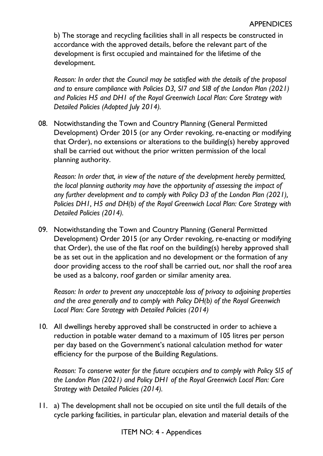b) The storage and recycling facilities shall in all respects be constructed in accordance with the approved details, before the relevant part of the development is first occupied and maintained for the lifetime of the development.

*Reason: In order that the Council may be satisfied with the details of the proposal and to ensure compliance with Policies D3, SI7 and SI8 of the London Plan (2021) and Policies H5 and DH1 of the Royal Greenwich Local Plan: Core Strategy with Detailed Policies (Adopted July 2014).*

08. Notwithstanding the Town and Country Planning (General Permitted Development) Order 2015 (or any Order revoking, re-enacting or modifying that Order), no extensions or alterations to the building(s) hereby approved shall be carried out without the prior written permission of the local planning authority.

*Reason: In order that, in view of the nature of the development hereby permitted, the local planning authority may have the opportunity of assessing the impact of any further development and to comply with Policy D3 of the London Plan (2021), Policies DH1, H5 and DH(b) of the Royal Greenwich Local Plan: Core Strategy with Detailed Policies (2014).* 

09. Notwithstanding the Town and Country Planning (General Permitted Development) Order 2015 (or any Order revoking, re-enacting or modifying that Order), the use of the flat roof on the building(s) hereby approved shall be as set out in the application and no development or the formation of any door providing access to the roof shall be carried out, nor shall the roof area be used as a balcony, roof garden or similar amenity area.

*Reason: In order to prevent any unacceptable loss of privacy to adjoining properties and the area generally and to comply with Policy DH(b) of the Royal Greenwich Local Plan: Core Strategy with Detailed Policies (2014)*

10. All dwellings hereby approved shall be constructed in order to achieve a reduction in potable water demand to a maximum of 105 litres per person per day based on the Government's national calculation method for water efficiency for the purpose of the Building Regulations.

*Reason: To conserve water for the future occupiers and to comply with Policy SI5 of the London Plan (2021) and Policy DH1 of the Royal Greenwich Local Plan: Core Strategy with Detailed Policies (2014).*

11. a) The development shall not be occupied on site until the full details of the cycle parking facilities, in particular plan, elevation and material details of the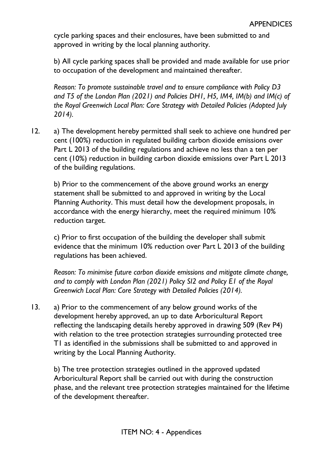cycle parking spaces and their enclosures, have been submitted to and approved in writing by the local planning authority.

b) All cycle parking spaces shall be provided and made available for use prior to occupation of the development and maintained thereafter.

*Reason: To promote sustainable travel and to ensure compliance with Policy D3 and T5 of the London Plan (2021) and Policies DH1, H5, IM4, IM(b) and IM(c) of the Royal Greenwich Local Plan: Core Strategy with Detailed Policies (Adopted July 2014).*

12. a) The development hereby permitted shall seek to achieve one hundred per cent (100%) reduction in regulated building carbon dioxide emissions over Part L 2013 of the building regulations and achieve no less than a ten per cent (10%) reduction in building carbon dioxide emissions over Part L 2013 of the building regulations.

b) Prior to the commencement of the above ground works an energy statement shall be submitted to and approved in writing by the Local Planning Authority. This must detail how the development proposals, in accordance with the energy hierarchy, meet the required minimum 10% reduction target.

c) Prior to first occupation of the building the developer shall submit evidence that the minimum 10% reduction over Part L 2013 of the building regulations has been achieved.

*Reason: To minimise future carbon dioxide emissions and mitigate climate change, and to comply with London Plan (2021) Policy SI2 and Policy E1 of the Royal Greenwich Local Plan: Core Strategy with Detailed Policies (2014).*

13. a) Prior to the commencement of any below ground works of the development hereby approved, an up to date Arboricultural Report reflecting the landscaping details hereby approved in drawing 509 (Rev P4) with relation to the tree protection strategies surrounding protected tree T1 as identified in the submissions shall be submitted to and approved in writing by the Local Planning Authority.

b) The tree protection strategies outlined in the approved updated Arboricultural Report shall be carried out with during the construction phase, and the relevant tree protection strategies maintained for the lifetime of the development thereafter.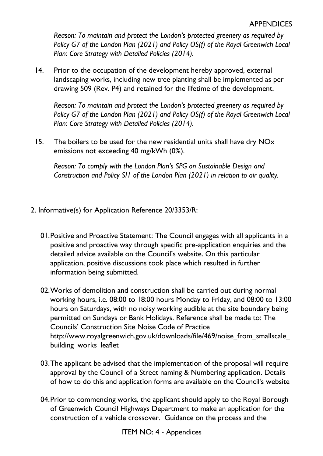*Reason: To maintain and protect the London's protected greenery as required by Policy G7 of the London Plan (2021) and Policy OS(f) of the Royal Greenwich Local Plan: Core Strategy with Detailed Policies (2014).*

14. Prior to the occupation of the development hereby approved, external landscaping works, including new tree planting shall be implemented as per drawing 509 (Rev. P4) and retained for the lifetime of the development.

*Reason: To maintain and protect the London's protected greenery as required by Policy G7 of the London Plan (2021) and Policy OS(f) of the Royal Greenwich Local Plan: Core Strategy with Detailed Policies (2014).*

15. The boilers to be used for the new residential units shall have dry NOx emissions not exceeding 40 mg/kWh (0%).

*Reason: To comply with the London Plan's SPG on Sustainable Design and Construction and Policy SI1 of the London Plan (2021) in relation to air quality.*

- 2. Informative(s) for Application Reference 20/3353/R:
	- 01.Positive and Proactive Statement: The Council engages with all applicants in a positive and proactive way through specific pre-application enquiries and the detailed advice available on the Council's website. On this particular application, positive discussions took place which resulted in further information being submitted.
	- 02.Works of demolition and construction shall be carried out during normal working hours, i.e. 08:00 to 18:00 hours Monday to Friday, and 08:00 to 13:00 hours on Saturdays, with no noisy working audible at the site boundary being permitted on Sundays or Bank Holidays. Reference shall be made to: The Councils' Construction Site Noise Code of Practice http://www.royalgreenwich.gov.uk/downloads/file/469/noise\_from\_smallscale building works leaflet
	- 03.The applicant be advised that the implementation of the proposal will require approval by the Council of a Street naming & Numbering application. Details of how to do this and application forms are available on the Council's website
	- 04.Prior to commencing works, the applicant should apply to the Royal Borough of Greenwich Council Highways Department to make an application for the construction of a vehicle crossover. Guidance on the process and the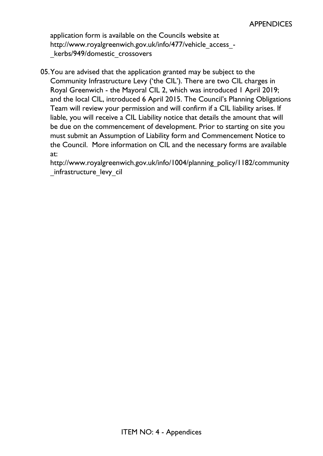application form is available on the Councils website at http://www.royalgreenwich.gov.uk/info/477/vehicle\_access\_kerbs/949/domestic\_crossovers

05.You are advised that the application granted may be subject to the Community Infrastructure Levy ('the CIL'). There are two CIL charges in Royal Greenwich - the Mayoral CIL 2, which was introduced 1 April 2019; and the local CIL, introduced 6 April 2015. The Council's Planning Obligations Team will review your permission and will confirm if a CIL liability arises. If liable, you will receive a CIL Liability notice that details the amount that will be due on the commencement of development. Prior to starting on site you must submit an Assumption of Liability form and Commencement Notice to the Council. More information on CIL and the necessary forms are available at:

http://www.royalgreenwich.gov.uk/info/1004/planning\_policy/1182/community infrastructure levy cil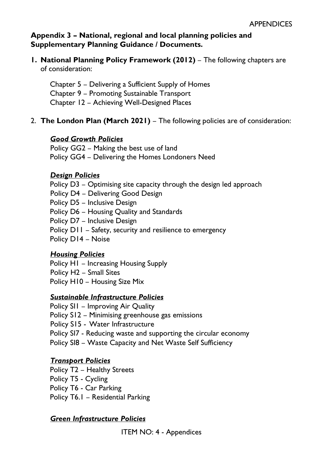## **Appendix 3 – National, regional and local planning policies and Supplementary Planning Guidance / Documents.**

**1. National Planning Policy Framework (2012)** – The following chapters are of consideration:

Chapter 5 – Delivering a Sufficient Supply of Homes Chapter 9 – Promoting Sustainable Transport Chapter 12 – Achieving Well-Designed Places

## 2. **The London Plan (March 2021)** – The following policies are of consideration:

### *Good Growth Policies*

Policy GG2 – Making the best use of land Policy GG4 – Delivering the Homes Londoners Need

#### *Design Policies*

Policy D3 – Optimising site capacity through the design led approach Policy D4 – Delivering Good Design Policy D5 – Inclusive Design Policy D6 – Housing Quality and Standards Policy D7 – Inclusive Design Policy D11 – Safety, security and resilience to emergency Policy D14 – Noise

## *Housing Policies*

Policy H1 – Increasing Housing Supply Policy H2 – Small Sites Policy H10 – Housing Size Mix

## *Sustainable Infrastructure Policies*

Policy SI1 – Improving Air Quality Policy S12 – Minimising greenhouse gas emissions Policy S15 - Water Infrastructure Policy SI7 - Reducing waste and supporting the circular economy Policy SI8 – Waste Capacity and Net Waste Self Sufficiency

## *Transport Policies*

Policy T2 – Healthy Streets Policy T5 - Cycling Policy T6 - Car Parking Policy T6.1 – Residential Parking

## *Green Infrastructure Policies*